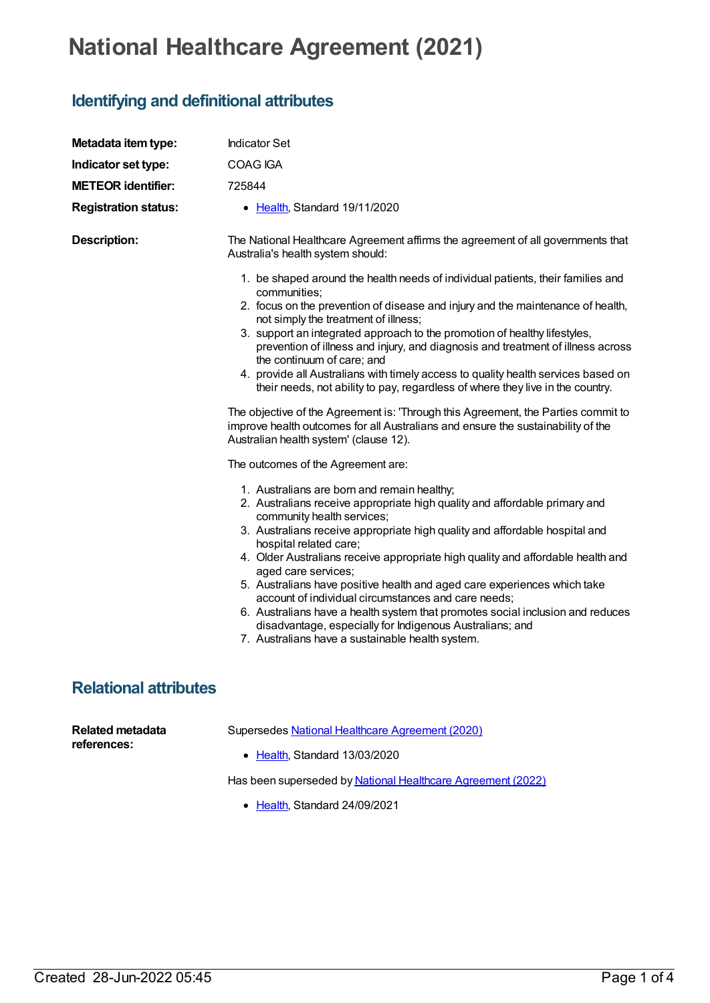## **National Healthcare Agreement (2021)**

## **Identifying and definitional attributes**

| Metadata item type:                    | <b>Indicator Set</b>                                                                                                                                                                                                                                                                                                                                                                                                                                                                                                                                                                                                                                                                                            |
|----------------------------------------|-----------------------------------------------------------------------------------------------------------------------------------------------------------------------------------------------------------------------------------------------------------------------------------------------------------------------------------------------------------------------------------------------------------------------------------------------------------------------------------------------------------------------------------------------------------------------------------------------------------------------------------------------------------------------------------------------------------------|
| Indicator set type:                    | <b>COAG IGA</b>                                                                                                                                                                                                                                                                                                                                                                                                                                                                                                                                                                                                                                                                                                 |
| <b>METEOR identifier:</b>              | 725844                                                                                                                                                                                                                                                                                                                                                                                                                                                                                                                                                                                                                                                                                                          |
| <b>Registration status:</b>            | • Health, Standard 19/11/2020                                                                                                                                                                                                                                                                                                                                                                                                                                                                                                                                                                                                                                                                                   |
| <b>Description:</b>                    | The National Healthcare Agreement affirms the agreement of all governments that<br>Australia's health system should:                                                                                                                                                                                                                                                                                                                                                                                                                                                                                                                                                                                            |
|                                        | 1. be shaped around the health needs of individual patients, their families and<br>communities;<br>2. focus on the prevention of disease and injury and the maintenance of health,<br>not simply the treatment of illness;<br>3. support an integrated approach to the promotion of healthy lifestyles,<br>prevention of illness and injury, and diagnosis and treatment of illness across<br>the continuum of care; and<br>4. provide all Australians with timely access to quality health services based on<br>their needs, not ability to pay, regardless of where they live in the country.                                                                                                                 |
|                                        | The objective of the Agreement is: 'Through this Agreement, the Parties commit to<br>improve health outcomes for all Australians and ensure the sustainability of the<br>Australian health system' (clause 12).                                                                                                                                                                                                                                                                                                                                                                                                                                                                                                 |
|                                        | The outcomes of the Agreement are:                                                                                                                                                                                                                                                                                                                                                                                                                                                                                                                                                                                                                                                                              |
|                                        | 1. Australians are born and remain healthy;<br>2. Australians receive appropriate high quality and affordable primary and<br>community health services;<br>3. Australians receive appropriate high quality and affordable hospital and<br>hospital related care;<br>4. Older Australians receive appropriate high quality and affordable health and<br>aged care services;<br>5. Australians have positive health and aged care experiences which take<br>account of individual circumstances and care needs;<br>6. Australians have a health system that promotes social inclusion and reduces<br>disadvantage, especially for Indigenous Australians; and<br>7. Australians have a sustainable health system. |
| <b>Relational attributes</b>           |                                                                                                                                                                                                                                                                                                                                                                                                                                                                                                                                                                                                                                                                                                                 |
| <b>Related metadata</b><br>references: | Supersedes National Healthcare Agreement (2020)<br>• Health, Standard 13/03/2020                                                                                                                                                                                                                                                                                                                                                                                                                                                                                                                                                                                                                                |

Has been superseded by National Healthcare [Agreement](https://meteor.aihw.gov.au/content/740910) (2022)

• [Health](https://meteor.aihw.gov.au/RegistrationAuthority/12), Standard 24/09/2021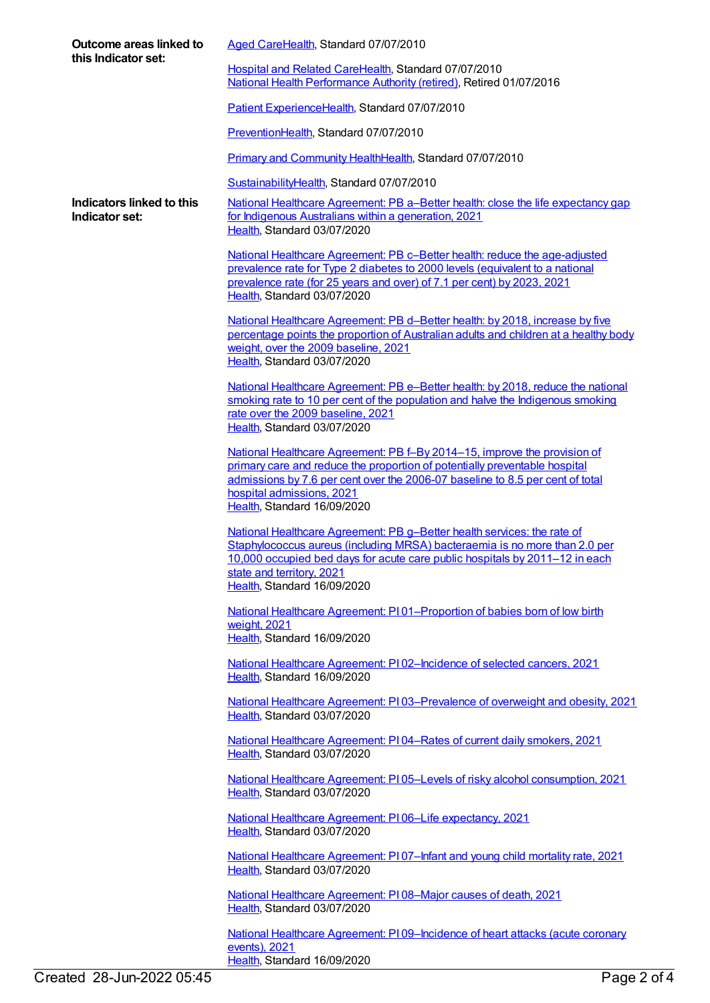| Outcome areas linked to<br>this Indicator set: | Aged CareHealth, Standard 07/07/2010                                                                                                                                                                                                                                |
|------------------------------------------------|---------------------------------------------------------------------------------------------------------------------------------------------------------------------------------------------------------------------------------------------------------------------|
|                                                | Hospital and Related CareHealth, Standard 07/07/2010<br>National Health Performance Authority (retired), Retired 01/07/2016                                                                                                                                         |
|                                                | Patient ExperienceHealth, Standard 07/07/2010                                                                                                                                                                                                                       |
|                                                | PreventionHealth, Standard 07/07/2010                                                                                                                                                                                                                               |
|                                                | Primary and Community HealthHealth, Standard 07/07/2010                                                                                                                                                                                                             |
|                                                | SustainabilityHealth, Standard 07/07/2010                                                                                                                                                                                                                           |
| Indicators linked to this<br>Indicator set:    | National Healthcare Agreement: PB a-Better health: close the life expectancy gap<br>for Indigenous Australians within a generation, 2021<br>Health, Standard 03/07/2020                                                                                             |
|                                                | National Healthcare Agreement: PB c-Better health: reduce the age-adjusted<br>prevalence rate for Type 2 diabetes to 2000 levels (equivalent to a national<br>prevalence rate (for 25 years and over) of 7.1 per cent) by 2023, 2021<br>Health, Standard 03/07/2020 |
|                                                | National Healthcare Agreement: PB d-Better health: by 2018, increase by five<br>percentage points the proportion of Australian adults and children at a healthy body<br>weight, over the 2009 baseline, 2021<br>Health, Standard 03/07/2020                         |
|                                                | National Healthcare Agreement: PB e-Better health: by 2018, reduce the national<br>smoking rate to 10 per cent of the population and halve the Indigenous smoking<br>rate over the 2009 baseline, 2021<br>Health, Standard 03/07/2020                               |
|                                                | National Healthcare Agreement: PB f-By 2014-15, improve the provision of                                                                                                                                                                                            |
|                                                | primary care and reduce the proportion of potentially preventable hospital<br>admissions by 7.6 per cent over the 2006-07 baseline to 8.5 per cent of total<br>hospital admissions, 2021                                                                            |
|                                                | Health, Standard 16/09/2020                                                                                                                                                                                                                                         |
|                                                | National Healthcare Agreement: PB g-Better health services: the rate of<br>Staphylococcus aureus (including MRSA) bacteraemia is no more than 2.0 per<br>10,000 occupied bed days for acute care public hospitals by 2011-12 in each<br>state and territory, 2021   |
|                                                | Health, Standard 16/09/2020                                                                                                                                                                                                                                         |
|                                                | National Healthcare Agreement: P101-Proportion of babies born of low birth<br>weight, 2021<br>Health, Standard 16/09/2020                                                                                                                                           |
|                                                |                                                                                                                                                                                                                                                                     |
|                                                | <u>National Healthcare Agreement: PI02-Incidence of selected cancers, 2021</u><br>Health, Standard 16/09/2020                                                                                                                                                       |
|                                                | National Healthcare Agreement: PI03-Prevalence of overweight and obesity, 2021<br>Health, Standard 03/07/2020                                                                                                                                                       |
|                                                | National Healthcare Agreement: PI04-Rates of current daily smokers, 2021<br>Health, Standard 03/07/2020                                                                                                                                                             |
|                                                | <b>National Healthcare Agreement: PI05-Levels of risky alcohol consumption, 2021</b><br>Health, Standard 03/07/2020                                                                                                                                                 |
|                                                | National Healthcare Agreement: PI06-Life expectancy, 2021<br>Health, Standard 03/07/2020                                                                                                                                                                            |
|                                                | National Healthcare Agreement: PI07-Infant and young child mortality rate, 2021<br>Health, Standard 03/07/2020                                                                                                                                                      |
|                                                | National Healthcare Agreement: PI08-Major causes of death, 2021<br>Health, Standard 03/07/2020                                                                                                                                                                      |
|                                                | National Healthcare Agreement: PI09-Incidence of heart attacks (acute coronary<br><u>events), 2021</u>                                                                                                                                                              |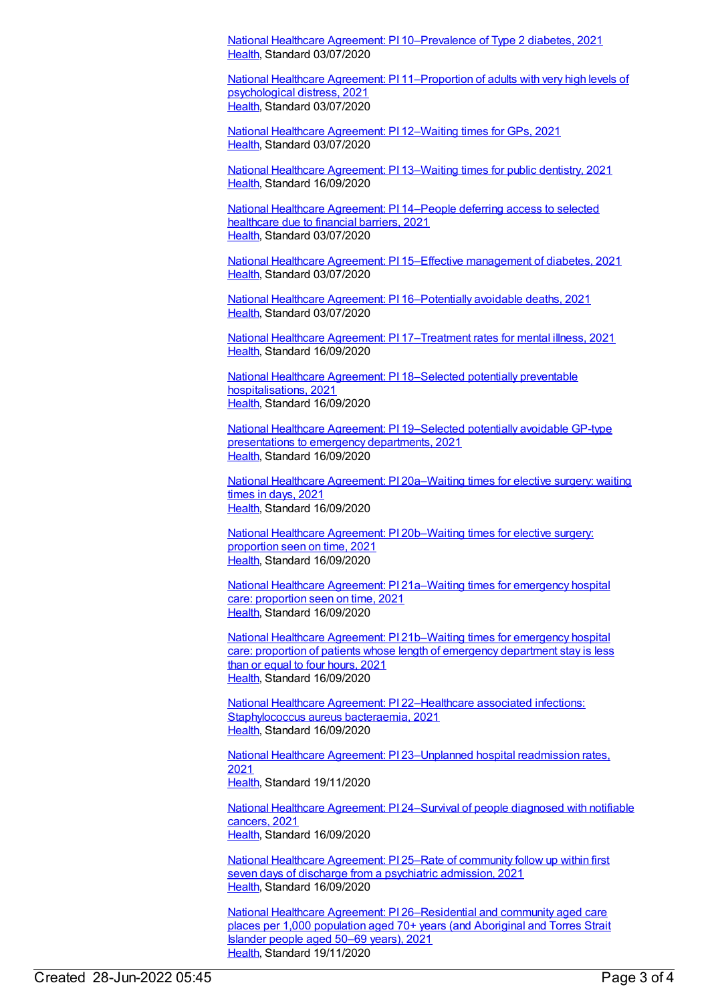National Healthcare Agreement: PI [10–Prevalence](https://meteor.aihw.gov.au/content/725809) of Type 2 diabetes, 2021 [Health](https://meteor.aihw.gov.au/RegistrationAuthority/12), Standard 03/07/2020

National Healthcare Agreement: PI [11–Proportion](https://meteor.aihw.gov.au/content/725807) of adults with very high levels of psychological distress, 2021 [Health](https://meteor.aihw.gov.au/RegistrationAuthority/12), Standard 03/07/2020

National Healthcare [Agreement:](https://meteor.aihw.gov.au/content/725805) PI 12–Waiting times for GPs, 2021 [Health](https://meteor.aihw.gov.au/RegistrationAuthority/12), Standard 03/07/2020

National Healthcare [Agreement:](https://meteor.aihw.gov.au/content/725803) PI 13–Waiting times for public dentistry, 2021 [Health](https://meteor.aihw.gov.au/RegistrationAuthority/12), Standard 16/09/2020

National Healthcare [Agreement:](https://meteor.aihw.gov.au/content/725801) PI 14–People deferring access to selected healthcare due to financial barriers, 2021 [Health](https://meteor.aihw.gov.au/RegistrationAuthority/12), Standard 03/07/2020

National Healthcare Agreement: PI 15–Effective [management](https://meteor.aihw.gov.au/content/725799) of diabetes, 2021 [Health](https://meteor.aihw.gov.au/RegistrationAuthority/12), Standard 03/07/2020

National Healthcare Agreement: PI [16–Potentially](https://meteor.aihw.gov.au/content/725797) avoidable deaths, 2021 [Health](https://meteor.aihw.gov.au/RegistrationAuthority/12), Standard 03/07/2020

National Healthcare Agreement: PI [17–Treatment](https://meteor.aihw.gov.au/content/725795) rates for mental illness, 2021 [Health](https://meteor.aihw.gov.au/RegistrationAuthority/12), Standard 16/09/2020

National Healthcare Agreement: PI 18–Selected potentially preventable [hospitalisations,](https://meteor.aihw.gov.au/content/725793) 2021 [Health](https://meteor.aihw.gov.au/RegistrationAuthority/12), Standard 16/09/2020

National Healthcare Agreement: PI [19–Selected](https://meteor.aihw.gov.au/content/725791) potentially avoidable GP-type presentations to emergency departments, 2021 [Health](https://meteor.aihw.gov.au/RegistrationAuthority/12), Standard 16/09/2020

National Healthcare Agreement: PI [20a–Waiting](https://meteor.aihw.gov.au/content/725789) times for elective surgery: waiting times in days, 2021 [Health](https://meteor.aihw.gov.au/RegistrationAuthority/12), Standard 16/09/2020

National Healthcare Agreement: PI [20b–Waiting](https://meteor.aihw.gov.au/content/725787) times for elective surgery: proportion seen on time, 2021 [Health](https://meteor.aihw.gov.au/RegistrationAuthority/12), Standard 16/09/2020

National Healthcare Agreement: PI [21a–Waiting](https://meteor.aihw.gov.au/content/725785) times for emergency hospital care: proportion seen on time, 2021 [Health](https://meteor.aihw.gov.au/RegistrationAuthority/12), Standard 16/09/2020

National Healthcare Agreement: PI [21b–Waiting](https://meteor.aihw.gov.au/content/725783) times for emergency hospital care: proportion of patients whose length of emergency department stay is less than or equal to four hours, 2021 [Health](https://meteor.aihw.gov.au/RegistrationAuthority/12), Standard 16/09/2020

National Healthcare Agreement: PI [22–Healthcare](https://meteor.aihw.gov.au/content/725781) associated infections: Staphylococcus aureus bacteraemia, 2021 [Health](https://meteor.aihw.gov.au/RegistrationAuthority/12), Standard 16/09/2020

National Healthcare Agreement: PI [23–Unplanned](https://meteor.aihw.gov.au/content/725779) hospital readmission rates, 2021 [Health](https://meteor.aihw.gov.au/RegistrationAuthority/12), Standard 19/11/2020

National Healthcare Agreement: PI [24–Survival](https://meteor.aihw.gov.au/content/725775) of people diagnosed with notifiable cancers, 2021 [Health](https://meteor.aihw.gov.au/RegistrationAuthority/12), Standard 16/09/2020

National Healthcare [Agreement:](https://meteor.aihw.gov.au/content/725773) PI 25–Rate of community follow up within first seven days of discharge from a psychiatric admission, 2021 [Health](https://meteor.aihw.gov.au/RegistrationAuthority/12), Standard 16/09/2020

National Healthcare Agreement: PI [26–Residential](https://meteor.aihw.gov.au/content/725771) and community aged care places per 1,000 population aged 70+ years (and Aboriginal and Torres Strait Islander people aged 50–69 years), 2021 [Health](https://meteor.aihw.gov.au/RegistrationAuthority/12), Standard 19/11/2020